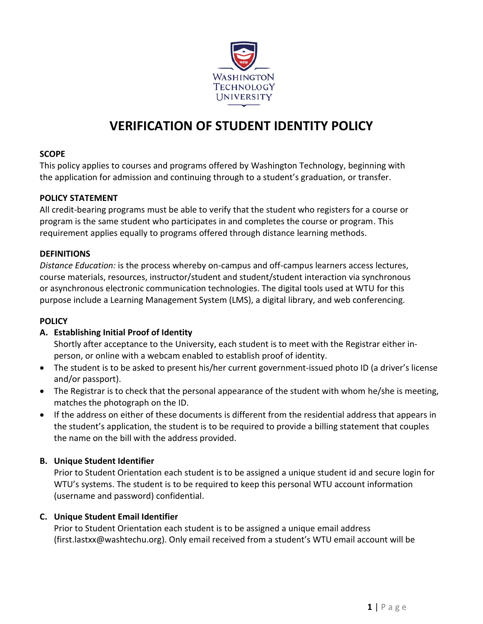

# **VERIFICATION OF STUDENT IDENTITY POLICY**

## **SCOPE**

This policy applies to courses and programs offered by Washington Technology, beginning with the application for admission and continuing through to a student's graduation, or transfer.

### **POLICY STATEMENT**

All credit-bearing programs must be able to verify that the student who registers for a course or program is the same student who participates in and completes the course or program. This requirement applies equally to programs offered through distance learning methods.

#### **DEFINITIONS**

*Distance Education:* is the process whereby on-campus and off-campus learners access lectures, course materials, resources, instructor/student and student/student interaction via synchronous or asynchronous electronic communication technologies. The digital tools used at WTU for this purpose include a Learning Management System (LMS), a digital library, and web conferencing.

#### **POLICY**

### **A. Establishing Initial Proof of Identity**

Shortly after acceptance to the University, each student is to meet with the Registrar either inperson, or online with a webcam enabled to establish proof of identity.

- The student is to be asked to present his/her current government-issued photo ID (a driver's license and/or passport).
- The Registrar is to check that the personal appearance of the student with whom he/she is meeting, matches the photograph on the ID.
- If the address on either of these documents is different from the residential address that appears in the student's application, the student is to be required to provide a billing statement that couples the name on the bill with the address provided.

### **B. Unique Student Identifier**

Prior to Student Orientation each student is to be assigned a unique student id and secure login for WTU's systems. The student is to be required to keep this personal WTU account information (username and password) confidential.

### **C. Unique Student Email Identifier**

Prior to Student Orientation each student is to be assigned a unique email address (first.lastxx@washtechu.org). Only email received from a student's WTU email account will be